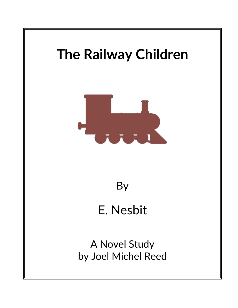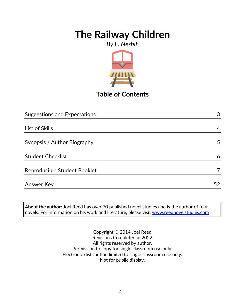### *By E. Nesbit*



# **Table of Contents**

| <b>Suggestions and Expectations</b> | 3  |
|-------------------------------------|----|
|                                     |    |
| List of Skills                      | 4  |
|                                     |    |
| Synopsis / Author Biography         | 5  |
|                                     |    |
| <b>Student Checklist</b>            | 6  |
| Reproducible Student Booklet        |    |
|                                     |    |
| <b>Answer Key</b>                   | 52 |

**About the author:** Joel Reed has over 70 published novel studies and is the author of four novels. For information on his work and literature, please visit [www.reednovelstudies.com](http://www.reednovelstudies.com/)

> Copyright © 2014 Joel Reed Revisions Completed in 2022 All rights reserved by author. Permission to copy for single classroom use only. Electronic distribution limited to single classroom use only. Not for public display.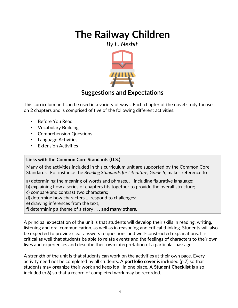*By E. Nesbit*



## **Suggestions and Expectations**

This curriculum unit can be used in a variety of ways. Each chapter of the novel study focuses on 2 chapters and is comprised of five of the following different activities:

- Before You Read
- Vocabulary Building
- Comprehension Questions
- Language Activities
- **Extension Activities**

### **Links with the Common Core Standards (U.S.)**

Many of the activities included in this curriculum unit are supported by the Common Core Standards. For instance the *Reading Standards for Literature, Grade 5*, makes reference to

a) determining the meaning of words and phrases. . . including figurative language;

- b) explaining how a series of chapters fits together to provide the overall structure;
- c) compare and contrast two characters;
- d) determine how characters … respond to challenges;
- e) drawing inferences from the text;
- f) determining a theme of a story . . . **and many others.**

A principal expectation of the unit is that students will develop their skills in reading, writing, listening and oral communication, as well as in reasoning and critical thinking. Students will also be expected to provide clear answers to questions and well-constructed explanations. It is critical as well that students be able to relate events and the feelings of characters to their own lives and experiences and describe their own interpretation of a particular passage.

A strength of the unit is that students can work on the activities at their own pace. Every activity need not be completed by all students. A **portfolio cover** is included (p.7) so that students may organize their work and keep it all in one place. A **Student Checklist** is also included (p.6) so that a record of completed work may be recorded.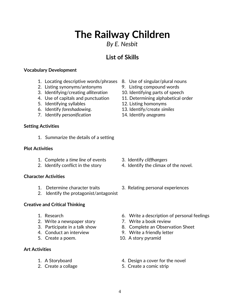### *By E. Nesbit*

# **List of Skills**

#### **Vocabulary Development**

- 1. Locating descriptive words/phrases 8. Use of singular/plural nouns
- 2. Listing synonyms/antonyms 9. Listing compound words
- 3. Identifying/creating *alliteration* 10. Identifying parts of speech
- 
- 5. Identifying syllables 12. Listing homonyms
- 6. Identify *foreshadowing*. 13. Identify/create *similes*
- 7. Identify *personification* 14. Identify *anagrams*

### **Setting Activities**

1. Summarize the details of a setting

#### **Plot Activities**

- 1. Complete a *time line* of events 3. Identify *cliffhangers*
- 

#### **Character Activities**

- 
- 2. Identify the protagonist/antagonist

### **Creative and Critical Thinking**

- 
- 2. Write a newspaper story **7. Write a book review**
- 
- 
- 

### **Art Activities**

- 
- 
- 
- 
- 
- 4. Use of capitals and punctuation 11. Determining alphabetical order
	-
	-
	-

- 
- 2. Identify conflict in the story 4. Identify the climax of the novel.
- 1. Determine character traits 3. Relating personal experiences
- 1. Research 6. Write a description of personal feelings
	-
- 3. Participate in a talk show 8. Complete an Observation Sheet
- 4. Conduct an interview 9. Write a friendly letter
- 5. Create a poem. 10. A story pyramid
- 1. A Storyboard 4. Design a cover for the novel
- 2. Create a collage 5. Create a comic strip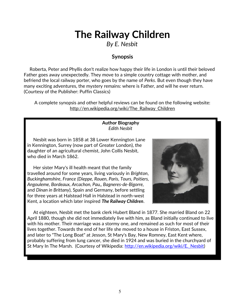*By E. Nesbit*

### **Synopsis**

 Roberta, Peter and Phyllis don't realize how happy their life in London is until their beloved Father goes away unexpectedly. They move to a simple country cottage with mother, and befriend the local railway porter, who goes by the name of *Perks*. But even though they have many exciting adventures, the mystery remains: where is Father, and will he ever return. (Courtesy of the Publisher: Puffin Classics)

A complete synopsis and other helpful reviews can be found on the following website: http://en.wikipedia.org/wiki/The\_Railway\_Children

> **Author Biography** *Edith Nesbit*

 Nesbit was born in 1858 at 38 Lower Kennington Lane in Kennington, Surrey (now part of Greater London), the daughter of an agricultural chemist, John Collis Nesbit, who died in March 1862.

 Her sister Mary's ill health meant that the family travelled around for some years, living variously in *Brighton*, *Buckinghamshire*, *France (Dieppe, Rouen, Paris, Tours, Poitiers, Angouleme, Bordeaux, Arcachon, Pau,, Bagneres-de-Bigorre,* and *Dinan in Brittany*), Spain and Germany, before settling for three years at Halstead Hall in Halstead in north-west Kent, a location which later inspired *The Railway Children*.



 At eighteen, Nesbit met the bank clerk Hubert Bland in 1877. She married Bland on 22 April 1880, though she did not immediately live with him, as Bland initially continued to live with his mother. Their marriage was a stormy one, and remained as such for most of their lives together. Towards the end of her life she moved to a house in Friston, East Sussex, and later to "The Long Boat" at Jesson, St Mary's Bay, New Romney, East Kent where, probably suffering from lung cancer, she died in 1924 and was buried in the churchyard of St Mary In The Marsh. (Courtesy of Wikipedia: [http://en.wikipedia.org/wiki/E.\\_Nesbit\)](http://en.wikipedia.org/wiki/E._Nesbit)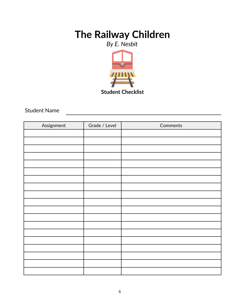*By E. Nesbit*



### Student Name

| Assignment | Grade / Level | Comments |
|------------|---------------|----------|
|            |               |          |
|            |               |          |
|            |               |          |
|            |               |          |
|            |               |          |
|            |               |          |
|            |               |          |
|            |               |          |
|            |               |          |
|            |               |          |
|            |               |          |
|            |               |          |
|            |               |          |
|            |               |          |
|            |               |          |
|            |               |          |
|            |               |          |
|            |               |          |
|            |               |          |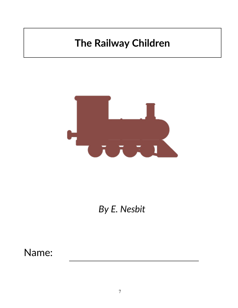

*By E. Nesbit*

Name: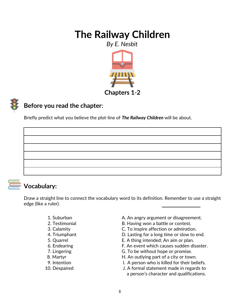*By E. Nesbit*



# **Before you read the chapter**:

Briefly predict what you believe the plot-line of *The Railway Children* will be about.

**Vocabulary:**

Draw a straight line to connect the vocabulary word to its definition. Remember to use a straight edge (like a ruler).

- 
- 
- 
- 
- 
- 
- 
- 
- 
- 
- 1. Suburban **A. An angry argument or disagreement.**
- 2. Testimonial **B. Having won a battle or contest.**
- 3. Calamity C. To inspire affection or admiration.
- 4. Triumphant D. Lasting for a long time or slow to end.
- 5. Quarrel E. A thing intended; An aim or plan.
- 6. Endearing E. An event which causes sudden disaster.
- 7. Lingering The G. To be without hope or promise.
- 8. Martyr **B. Martyr H. An outlying part of a city or town.**
- 9. Intention **I.** A person who is killed for their beliefs.
- 10. Despaired J. A formal statement made in regards to a person's character and qualifications.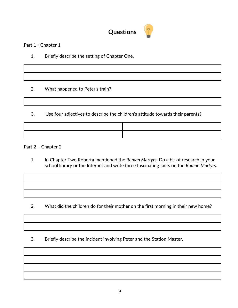

#### Part 1 - Chapter 1

1. Briefly describe the setting of Chapter One.

2. What happened to Peter's train?

3. Use four adjectives to describe the children's attitude towards their parents?



Part 2 - Chapter 2

1. In Chapter Two Roberta mentioned the *Roman Martyrs*. Do a bit of research in your school library or the Internet and write three fascinating facts on the *Roman Martyrs*.

- 2. What did the children do for their mother on the first morning in their new home?
- 3. Briefly describe the incident involving Peter and the Station Master.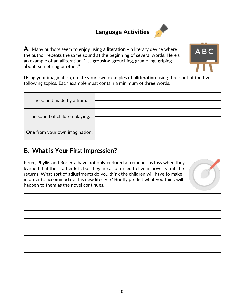# **Language Activities**



**A**. Many authors seem to enjoy using **alliteration –** a literary device where the author **r**epeats the same sound at the beginning of several words. Here's an example of an alliteration: ". . . **g**rousing, **g**rouching, **g**rumbling, **g**riping about something or other."



Using your imagination, create your own examples of **alliteration** using three out of the five following topics. Each example must contain a minimum of three words.

| The sound made by a train.     |  |
|--------------------------------|--|
| The sound of children playing. |  |
| One from your own imagination. |  |

### **B. What is Your First Impression?**

Peter, Phyllis and Roberta have not only endured a tremendous loss when they learned that their father left, but they are also forced to live in poverty until he returns. What sort of adjustments do you think the children will have to make in order to accommodate this new lifestyle? Briefly predict what you think will happen to them as the novel continues.

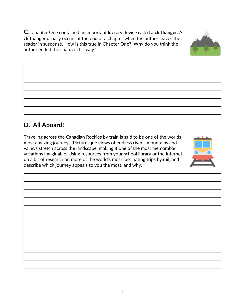11

**C**. Chapter One contained an important literary device called a **cliffhanger**. A cliffhanger usually occurs at the end of a chapter when the author leaves the reader in suspense. How is this true in Chapter One? Why do you think the author ended the chapter this way?

do a bit of research on more of the world's most fascinating trips by rail, and describe which journey appeals to you the most, and why.

Traveling across the Canadian Rockies by train is said to be one of the worlds most amazing journeys. Picturesque views of endless rivers, mountains and valleys stretch across the landscape, making it one of the most memorable vacations imaginable. Using resources from your school library or the Internet







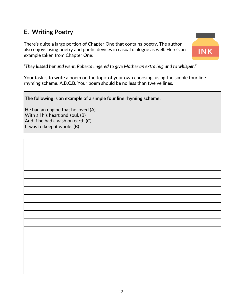## **E. Writing Poetry**

There's quite a large portion of Chapter One that contains poetry. The author also enjoys using poetry and poetic devices in casual dialogue as well. Here's an example taken from Chapter One:



*"They kissed her and went. Roberta lingered to give Mother an extra hug and to whisper."*

Your task is to write a poem on the topic of your own choosing, using the simple four line rhyming scheme. A.B.C.B. Your poem should be no less than twelve lines.

**The following is an example of a simple four line rhyming scheme:**

He had an engine that he loved (A) With all his heart and soul, (B) And if he had a wish on earth (C) It was to keep it whole. (B)